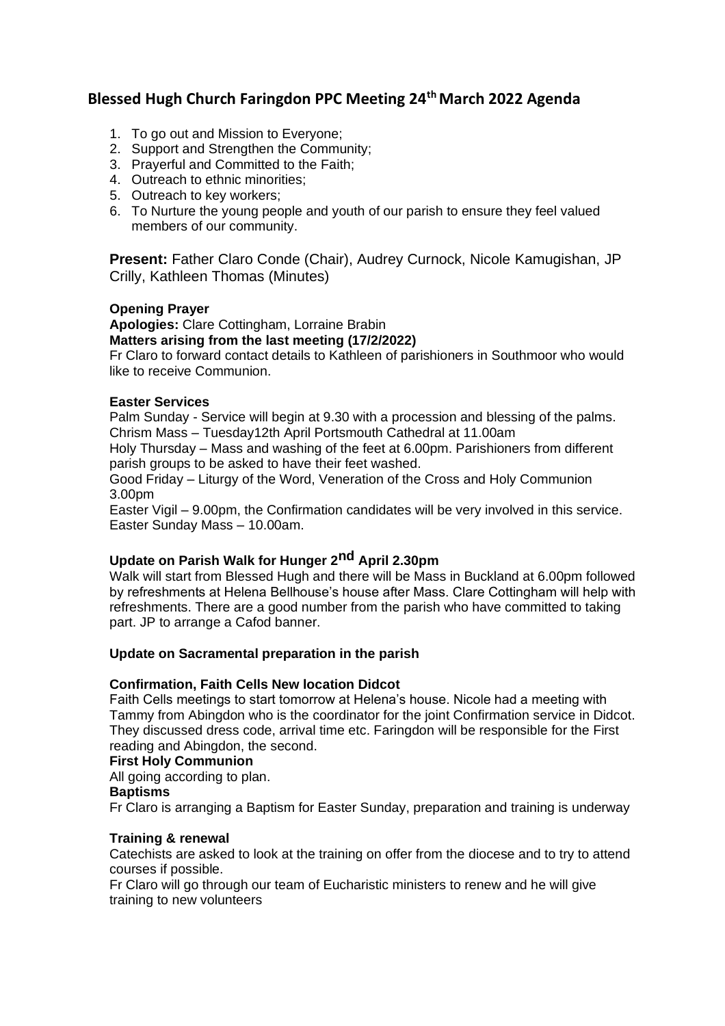# **Blessed Hugh Church Faringdon PPC Meeting 24th March 2022 Agenda**

- 1. To go out and Mission to Everyone;
- 2. Support and Strengthen the Community;
- 3. Prayerful and Committed to the Faith;
- 4. Outreach to ethnic minorities;
- 5. Outreach to key workers;
- 6. To Nurture the young people and youth of our parish to ensure they feel valued members of our community.

**Present:** Father Claro Conde (Chair), Audrey Curnock, Nicole Kamugishan, JP Crilly, Kathleen Thomas (Minutes)

#### **Opening Prayer**

**Apologies:** Clare Cottingham, Lorraine Brabin **Matters arising from the last meeting (17/2/2022)** 

Fr Claro to forward contact details to Kathleen of parishioners in Southmoor who would like to receive Communion.

# **Easter Services**

Palm Sunday - Service will begin at 9.30 with a procession and blessing of the palms. Chrism Mass – Tuesday12th April Portsmouth Cathedral at 11.00am

Holy Thursday – Mass and washing of the feet at 6.00pm. Parishioners from different parish groups to be asked to have their feet washed.

Good Friday – Liturgy of the Word, Veneration of the Cross and Holy Communion 3.00pm

Easter Vigil – 9.00pm, the Confirmation candidates will be very involved in this service. Easter Sunday Mass – 10.00am.

# **Update on Parish Walk for Hunger 2nd April 2.30pm**

Walk will start from Blessed Hugh and there will be Mass in Buckland at 6.00pm followed by refreshments at Helena Bellhouse's house after Mass. Clare Cottingham will help with refreshments. There are a good number from the parish who have committed to taking part. JP to arrange a Cafod banner.

## **Update on Sacramental preparation in the parish**

#### **Confirmation, Faith Cells New location Didcot**

Faith Cells meetings to start tomorrow at Helena's house. Nicole had a meeting with Tammy from Abingdon who is the coordinator for the joint Confirmation service in Didcot. They discussed dress code, arrival time etc. Faringdon will be responsible for the First reading and Abingdon, the second.

#### **First Holy Communion**

All going according to plan.

## **Baptisms**

Fr Claro is arranging a Baptism for Easter Sunday, preparation and training is underway

# **Training & renewal**

Catechists are asked to look at the training on offer from the diocese and to try to attend courses if possible.

Fr Claro will go through our team of Eucharistic ministers to renew and he will give training to new volunteers